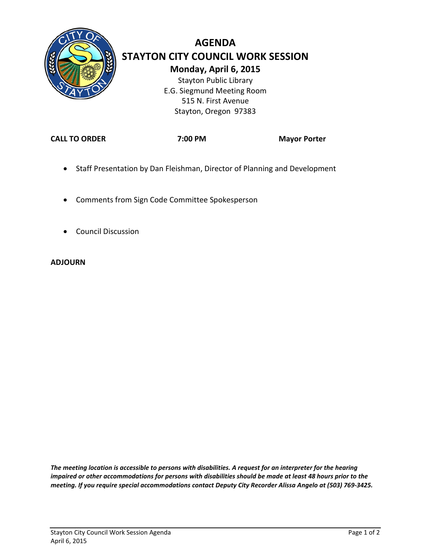

# **AGENDA STAYTON CITY COUNCIL WORK SESSION Monday, April 6, 2015** Stayton Public Library E.G. Siegmund Meeting Room

515 N. First Avenue Stayton, Oregon 97383

**CALL TO ORDER 7:00 PM Mayor Porter**

- Staff Presentation by Dan Fleishman, Director of Planning and Development
- Comments from Sign Code Committee Spokesperson
- Council Discussion

#### **ADJOURN**

*The meeting location is accessible to persons with disabilities. A request for an interpreter for the hearing impaired or other accommodations for persons with disabilities should be made at least 48 hours prior to the meeting. If you require special accommodations contact Deputy City Recorder Alissa Angelo at (503) 769-3425.*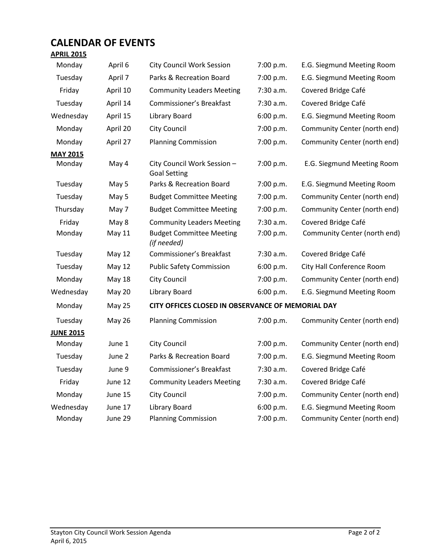# **CALENDAR OF EVENTS**

## **APRIL 2015**

| Monday           | April 6       | <b>City Council Work Session</b>                                     | 7:00 p.m.                                 | E.G. Siegmund Meeting Room       |  |  |
|------------------|---------------|----------------------------------------------------------------------|-------------------------------------------|----------------------------------|--|--|
| Tuesday          | April 7       | Parks & Recreation Board                                             | 7:00 p.m.                                 | E.G. Siegmund Meeting Room       |  |  |
| Friday           | April 10      | <b>Community Leaders Meeting</b>                                     | 7:30 a.m.                                 | Covered Bridge Café              |  |  |
| Tuesday          | April 14      | Commissioner's Breakfast<br>7:30 a.m.                                |                                           | Covered Bridge Café              |  |  |
| Wednesday        | April 15      | Library Board                                                        | 6:00 p.m.                                 | E.G. Siegmund Meeting Room       |  |  |
| Monday           | April 20      | <b>City Council</b>                                                  | 7:00 p.m.<br>Community Center (north end) |                                  |  |  |
| Monday           | April 27      | <b>Planning Commission</b>                                           | 7:00 p.m.                                 | Community Center (north end)     |  |  |
| <b>MAY 2015</b>  |               |                                                                      |                                           |                                  |  |  |
| Monday           | May 4         | City Council Work Session -<br><b>Goal Setting</b>                   | 7:00 p.m.                                 | E.G. Siegmund Meeting Room       |  |  |
| Tuesday          | May 5         | Parks & Recreation Board                                             | 7:00 p.m.                                 | E.G. Siegmund Meeting Room       |  |  |
| Tuesday          | May 5         | <b>Budget Committee Meeting</b>                                      | 7:00 p.m.                                 | Community Center (north end)     |  |  |
| Thursday         | May 7         | <b>Budget Committee Meeting</b>                                      | 7:00 p.m.                                 | Community Center (north end)     |  |  |
| Friday           | May 8         | <b>Community Leaders Meeting</b>                                     | 7:30 a.m.                                 | Covered Bridge Café              |  |  |
| Monday           | <b>May 11</b> | <b>Budget Committee Meeting</b><br>(if needed)                       | 7:00 p.m.                                 | Community Center (north end)     |  |  |
| Tuesday          | <b>May 12</b> | Commissioner's Breakfast                                             | 7:30 a.m.                                 | Covered Bridge Café              |  |  |
| Tuesday          | <b>May 12</b> | <b>Public Safety Commission</b>                                      | 6:00 p.m.                                 | <b>City Hall Conference Room</b> |  |  |
| Monday           | <b>May 18</b> | <b>City Council</b>                                                  | 7:00 p.m.<br>Community Center (north end) |                                  |  |  |
| Wednesday        | <b>May 20</b> | Library Board                                                        | 6:00 p.m.<br>E.G. Siegmund Meeting Room   |                                  |  |  |
| Monday           | May 25        | CITY OFFICES CLOSED IN OBSERVANCE OF MEMORIAL DAY                    |                                           |                                  |  |  |
| Tuesday          | <b>May 26</b> | <b>Planning Commission</b>                                           | 7:00 p.m.                                 | Community Center (north end)     |  |  |
| <b>JUNE 2015</b> |               |                                                                      |                                           |                                  |  |  |
| Monday           | June 1        | <b>City Council</b>                                                  | 7:00 p.m.                                 | Community Center (north end)     |  |  |
| Tuesday          | June 2        | Parks & Recreation Board<br>7:00 p.m.                                |                                           | E.G. Siegmund Meeting Room       |  |  |
| Tuesday          | June 9        | Commissioner's Breakfast<br>7:30 a.m.<br>Covered Bridge Café         |                                           |                                  |  |  |
| Friday           | June 12       | Covered Bridge Café<br><b>Community Leaders Meeting</b><br>7:30 a.m. |                                           |                                  |  |  |
| Monday           | June 15       | <b>City Council</b>                                                  | 7:00 p.m.                                 | Community Center (north end)     |  |  |
| Wednesday        | June 17       | Library Board                                                        | 6:00 p.m.                                 | E.G. Siegmund Meeting Room       |  |  |
| Monday           | June 29       | <b>Planning Commission</b>                                           | 7:00 p.m.                                 | Community Center (north end)     |  |  |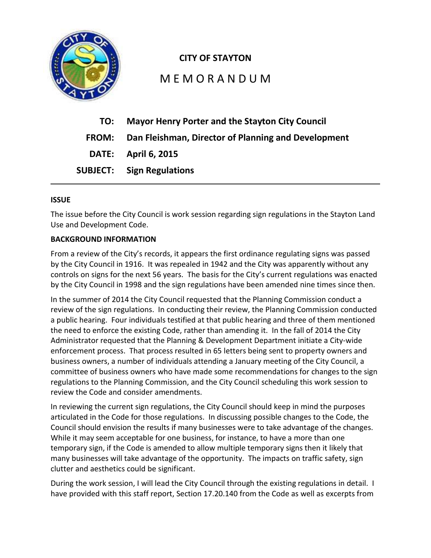

# **CITY OF STAYTON**

# M E M O R A N D U M

| TO: | <b>Mayor Henry Porter and the Stayton City Council</b>    |
|-----|-----------------------------------------------------------|
|     | FROM: Dan Fleishman, Director of Planning and Development |
|     | <b>DATE:</b> April 6, 2015                                |
|     | <b>SUBJECT:</b> Sign Regulations                          |

#### **ISSUE**

The issue before the City Council is work session regarding sign regulations in the Stayton Land Use and Development Code.

#### **BACKGROUND INFORMATION**

From a review of the City's records, it appears the first ordinance regulating signs was passed by the City Council in 1916. It was repealed in 1942 and the City was apparently without any controls on signs for the next 56 years. The basis for the City's current regulations was enacted by the City Council in 1998 and the sign regulations have been amended nine times since then.

In the summer of 2014 the City Council requested that the Planning Commission conduct a review of the sign regulations. In conducting their review, the Planning Commission conducted a public hearing. Four individuals testified at that public hearing and three of them mentioned the need to enforce the existing Code, rather than amending it. In the fall of 2014 the City Administrator requested that the Planning & Development Department initiate a City-wide enforcement process. That process resulted in 65 letters being sent to property owners and business owners, a number of individuals attending a January meeting of the City Council, a committee of business owners who have made some recommendations for changes to the sign regulations to the Planning Commission, and the City Council scheduling this work session to review the Code and consider amendments.

In reviewing the current sign regulations, the City Council should keep in mind the purposes articulated in the Code for those regulations. In discussing possible changes to the Code, the Council should envision the results if many businesses were to take advantage of the changes. While it may seem acceptable for one business, for instance, to have a more than one temporary sign, if the Code is amended to allow multiple temporary signs then it likely that many businesses will take advantage of the opportunity. The impacts on traffic safety, sign clutter and aesthetics could be significant.

During the work session, I will lead the City Council through the existing regulations in detail. I have provided with this staff report, Section 17.20.140 from the Code as well as excerpts from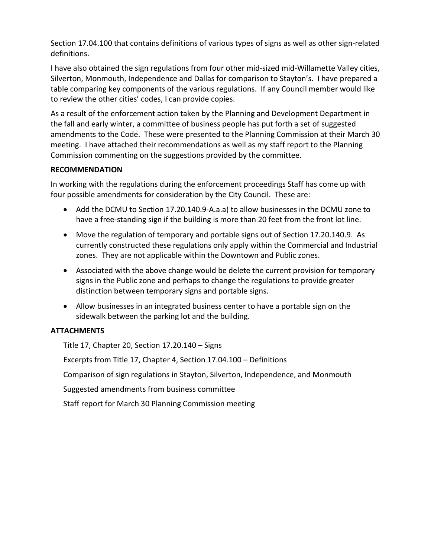Section 17.04.100 that contains definitions of various types of signs as well as other sign-related definitions.

I have also obtained the sign regulations from four other mid-sized mid-Willamette Valley cities, Silverton, Monmouth, Independence and Dallas for comparison to Stayton's. I have prepared a table comparing key components of the various regulations. If any Council member would like to review the other cities' codes, I can provide copies.

As a result of the enforcement action taken by the Planning and Development Department in the fall and early winter, a committee of business people has put forth a set of suggested amendments to the Code. These were presented to the Planning Commission at their March 30 meeting. I have attached their recommendations as well as my staff report to the Planning Commission commenting on the suggestions provided by the committee.

#### **RECOMMENDATION**

In working with the regulations during the enforcement proceedings Staff has come up with four possible amendments for consideration by the City Council. These are:

- Add the DCMU to Section 17.20.140.9-A.a.a) to allow businesses in the DCMU zone to have a free-standing sign if the building is more than 20 feet from the front lot line.
- Move the regulation of temporary and portable signs out of Section 17.20.140.9. As currently constructed these regulations only apply within the Commercial and Industrial zones. They are not applicable within the Downtown and Public zones.
- Associated with the above change would be delete the current provision for temporary signs in the Public zone and perhaps to change the regulations to provide greater distinction between temporary signs and portable signs.
- Allow businesses in an integrated business center to have a portable sign on the sidewalk between the parking lot and the building.

## **ATTACHMENTS**

Title 17, Chapter 20, Section 17.20.140 – Signs

Excerpts from Title 17, Chapter 4, Section 17.04.100 – Definitions

Comparison of sign regulations in Stayton, Silverton, Independence, and Monmouth

Suggested amendments from business committee

Staff report for March 30 Planning Commission meeting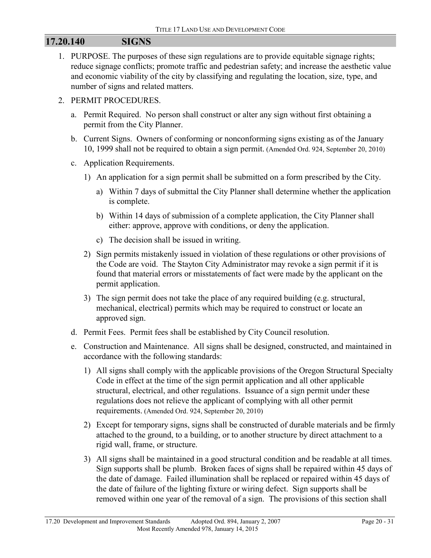# **17.20.140 SIGNS**

1. PURPOSE. The purposes of these sign regulations are to provide equitable signage rights; reduce signage conflicts; promote traffic and pedestrian safety; and increase the aesthetic value and economic viability of the city by classifying and regulating the location, size, type, and number of signs and related matters.

#### 2. PERMIT PROCEDURES.

- a. Permit Required. No person shall construct or alter any sign without first obtaining a permit from the City Planner.
- b. Current Signs. Owners of conforming or nonconforming signs existing as of the January 10, 1999 shall not be required to obtain a sign permit. (Amended Ord. 924, September 20, 2010)
- c. Application Requirements.
	- 1) An application for a sign permit shall be submitted on a form prescribed by the City.
		- a) Within 7 days of submittal the City Planner shall determine whether the application is complete.
		- b) Within 14 days of submission of a complete application, the City Planner shall either: approve, approve with conditions, or deny the application.
		- c) The decision shall be issued in writing.
	- 2) Sign permits mistakenly issued in violation of these regulations or other provisions of the Code are void. The Stayton City Administrator may revoke a sign permit if it is found that material errors or misstatements of fact were made by the applicant on the permit application.
	- 3) The sign permit does not take the place of any required building (e.g. structural, mechanical, electrical) permits which may be required to construct or locate an approved sign.
- d. Permit Fees. Permit fees shall be established by City Council resolution.
- e. Construction and Maintenance. All signs shall be designed, constructed, and maintained in accordance with the following standards:
	- 1) All signs shall comply with the applicable provisions of the Oregon Structural Specialty Code in effect at the time of the sign permit application and all other applicable structural, electrical, and other regulations. Issuance of a sign permit under these regulations does not relieve the applicant of complying with all other permit requirements. (Amended Ord. 924, September 20, 2010)
	- 2) Except for temporary signs, signs shall be constructed of durable materials and be firmly attached to the ground, to a building, or to another structure by direct attachment to a rigid wall, frame, or structure.
	- 3) All signs shall be maintained in a good structural condition and be readable at all times. Sign supports shall be plumb. Broken faces of signs shall be repaired within 45 days of the date of damage. Failed illumination shall be replaced or repaired within 45 days of the date of failure of the lighting fixture or wiring defect. Sign supports shall be removed within one year of the removal of a sign. The provisions of this section shall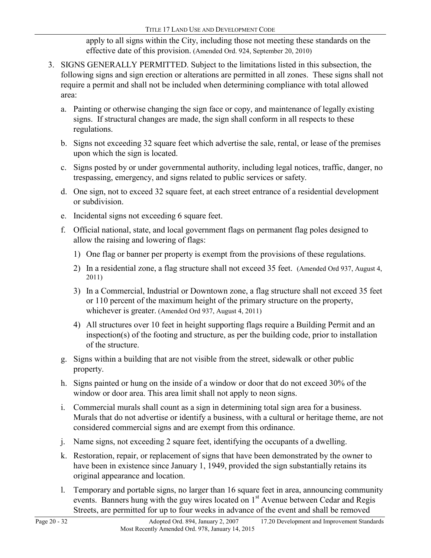apply to all signs within the City, including those not meeting these standards on the effective date of this provision. (Amended Ord. 924, September 20, 2010)

- 3. SIGNS GENERALLY PERMITTED. Subject to the limitations listed in this subsection, the following signs and sign erection or alterations are permitted in all zones. These signs shall not require a permit and shall not be included when determining compliance with total allowed area:
	- a. Painting or otherwise changing the sign face or copy, and maintenance of legally existing signs. If structural changes are made, the sign shall conform in all respects to these regulations.
	- b. Signs not exceeding 32 square feet which advertise the sale, rental, or lease of the premises upon which the sign is located.
	- c. Signs posted by or under governmental authority, including legal notices, traffic, danger, no trespassing, emergency, and signs related to public services or safety.
	- d. One sign, not to exceed 32 square feet, at each street entrance of a residential development or subdivision.
	- e. Incidental signs not exceeding 6 square feet.
	- f. Official national, state, and local government flags on permanent flag poles designed to allow the raising and lowering of flags:
		- 1) One flag or banner per property is exempt from the provisions of these regulations.
		- 2) In a residential zone, a flag structure shall not exceed 35 feet. (Amended Ord 937, August 4, 2011)
		- 3) In a Commercial, Industrial or Downtown zone, a flag structure shall not exceed 35 feet or 110 percent of the maximum height of the primary structure on the property, whichever is greater. (Amended Ord 937, August 4, 2011)
		- 4) All structures over 10 feet in height supporting flags require a Building Permit and an inspection(s) of the footing and structure, as per the building code, prior to installation of the structure.
	- g. Signs within a building that are not visible from the street, sidewalk or other public property.
	- h. Signs painted or hung on the inside of a window or door that do not exceed 30% of the window or door area. This area limit shall not apply to neon signs.
	- i. Commercial murals shall count as a sign in determining total sign area for a business. Murals that do not advertise or identify a business, with a cultural or heritage theme, are not considered commercial signs and are exempt from this ordinance.
	- j. Name signs, not exceeding 2 square feet, identifying the occupants of a dwelling.
	- k. Restoration, repair, or replacement of signs that have been demonstrated by the owner to have been in existence since January 1, 1949, provided the sign substantially retains its original appearance and location.
	- l. Temporary and portable signs, no larger than 16 square feet in area, announcing community events. Banners hung with the guy wires located on  $1<sup>st</sup>$  Avenue between Cedar and Regis Streets, are permitted for up to four weeks in advance of the event and shall be removed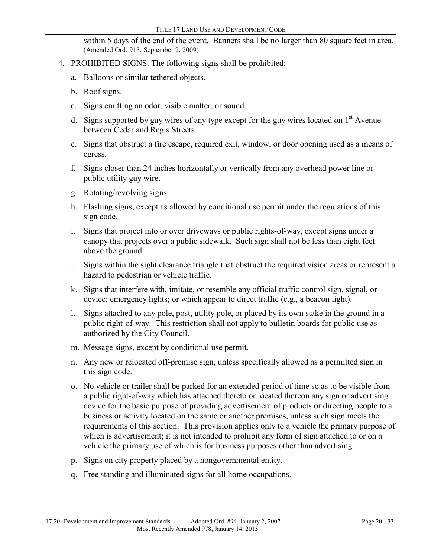within 5 days of the end of the event. Banners shall be no larger than 80 square feet in area. (Amended Ord. 913, September 2, 2009)

- 4. PROHIBITED SIGNS. The following signs shall be prohibited:
	- a. Balloons or similar tethered objects.
	- b. Roof signs.
	- c. Signs emitting an odor, visible matter, or sound.
	- d. Signs supported by guy wires of any type except for the guy wires located on  $1<sup>st</sup>$  Avenue between Cedar and Regis Streets.
	- e. Signs that obstruct a fire escape, required exit, window, or door opening used as a means of egress.
	- f. Signs closer than 24 inches horizontally or vertically from any overhead power line or public utility guy wire.
	- g. Rotating/revolving signs.
	- h. Flashing signs, except as allowed by conditional use permit under the regulations of this sign code.
	- i. Signs that project into or over driveways or public rights-of-way, except signs under a canopy that projects over a public sidewalk. Such sign shall not be less than eight feet above the ground.
	- j. Signs within the sight clearance triangle that obstruct the required vision areas or represent a hazard to pedestrian or vehicle traffic.
	- k. Signs that interfere with, imitate, or resemble any official traffic control sign, signal, or device; emergency lights; or which appear to direct traffic (e.g., a beacon light).
	- l. Signs attached to any pole, post, utility pole, or placed by its own stake in the ground in a public right-of-way. This restriction shall not apply to bulletin boards for public use as authorized by the City Council.
	- m. Message signs, except by conditional use permit.
	- n. Any new or relocated off-premise sign, unless specifically allowed as a permitted sign in this sign code.
	- o. No vehicle or trailer shall be parked for an extended period of time so as to be visible from a public right-of-way which has attached thereto or located thereon any sign or advertising device for the basic purpose of providing advertisement of products or directing people to a business or activity located on the same or another premises, unless such sign meets the requirements of this section. This provision applies only to a vehicle the primary purpose of which is advertisement; it is not intended to prohibit any form of sign attached to or on a vehicle the primary use of which is for business purposes other than advertising.
	- p. Signs on city property placed by a nongovernmental entity.
	- q. Free standing and illuminated signs for all home occupations.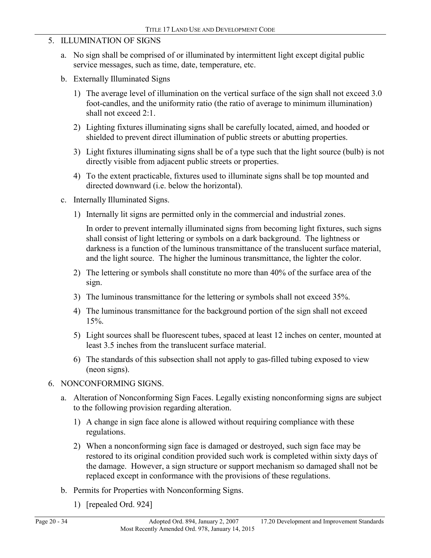- 5. ILLUMINATION OF SIGNS
	- a. No sign shall be comprised of or illuminated by intermittent light except digital public service messages, such as time, date, temperature, etc.
	- b. Externally Illuminated Signs
		- 1) The average level of illumination on the vertical surface of the sign shall not exceed 3.0 foot-candles, and the uniformity ratio (the ratio of average to minimum illumination) shall not exceed 2:1.
		- 2) Lighting fixtures illuminating signs shall be carefully located, aimed, and hooded or shielded to prevent direct illumination of public streets or abutting properties.
		- 3) Light fixtures illuminating signs shall be of a type such that the light source (bulb) is not directly visible from adjacent public streets or properties.
		- 4) To the extent practicable, fixtures used to illuminate signs shall be top mounted and directed downward (i.e. below the horizontal).
	- c. Internally Illuminated Signs.
		- 1) Internally lit signs are permitted only in the commercial and industrial zones.

In order to prevent internally illuminated signs from becoming light fixtures, such signs shall consist of light lettering or symbols on a dark background. The lightness or darkness is a function of the luminous transmittance of the translucent surface material, and the light source. The higher the luminous transmittance, the lighter the color.

- 2) The lettering or symbols shall constitute no more than 40% of the surface area of the sign.
- 3) The luminous transmittance for the lettering or symbols shall not exceed 35%.
- 4) The luminous transmittance for the background portion of the sign shall not exceed 15%.
- 5) Light sources shall be fluorescent tubes, spaced at least 12 inches on center, mounted at least 3.5 inches from the translucent surface material.
- 6) The standards of this subsection shall not apply to gas-filled tubing exposed to view (neon signs).
- 6. NONCONFORMING SIGNS.
	- a. Alteration of Nonconforming Sign Faces. Legally existing nonconforming signs are subject to the following provision regarding alteration.
		- 1) A change in sign face alone is allowed without requiring compliance with these regulations.
		- 2) When a nonconforming sign face is damaged or destroyed, such sign face may be restored to its original condition provided such work is completed within sixty days of the damage. However, a sign structure or support mechanism so damaged shall not be replaced except in conformance with the provisions of these regulations.
	- b. Permits for Properties with Nonconforming Signs.
		- 1) [repealed Ord. 924]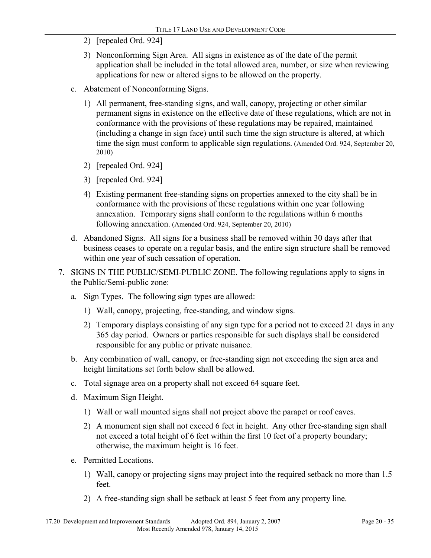- 2) [repealed Ord. 924]
- 3) Nonconforming Sign Area. All signs in existence as of the date of the permit application shall be included in the total allowed area, number, or size when reviewing applications for new or altered signs to be allowed on the property.
- c. Abatement of Nonconforming Signs.
	- 1) All permanent, free-standing signs, and wall, canopy, projecting or other similar permanent signs in existence on the effective date of these regulations, which are not in conformance with the provisions of these regulations may be repaired, maintained (including a change in sign face) until such time the sign structure is altered, at which time the sign must conform to applicable sign regulations. (Amended Ord. 924, September 20, 2010)
	- 2) [repealed Ord. 924]
	- 3) [repealed Ord. 924]
	- 4) Existing permanent free-standing signs on properties annexed to the city shall be in conformance with the provisions of these regulations within one year following annexation. Temporary signs shall conform to the regulations within 6 months following annexation. (Amended Ord. 924, September 20, 2010)
- d. Abandoned Signs. All signs for a business shall be removed within 30 days after that business ceases to operate on a regular basis, and the entire sign structure shall be removed within one year of such cessation of operation.
- 7. SIGNS IN THE PUBLIC/SEMI-PUBLIC ZONE. The following regulations apply to signs in the Public/Semi-public zone:
	- a. Sign Types. The following sign types are allowed:
		- 1) Wall, canopy, projecting, free-standing, and window signs.
		- 2) Temporary displays consisting of any sign type for a period not to exceed 21 days in any 365 day period. Owners or parties responsible for such displays shall be considered responsible for any public or private nuisance.
	- b. Any combination of wall, canopy, or free-standing sign not exceeding the sign area and height limitations set forth below shall be allowed.
	- c. Total signage area on a property shall not exceed 64 square feet.
	- d. Maximum Sign Height.
		- 1) Wall or wall mounted signs shall not project above the parapet or roof eaves.
		- 2) A monument sign shall not exceed 6 feet in height. Any other free-standing sign shall not exceed a total height of 6 feet within the first 10 feet of a property boundary; otherwise, the maximum height is 16 feet.
	- e. Permitted Locations.
		- 1) Wall, canopy or projecting signs may project into the required setback no more than 1.5 feet.
		- 2) A free-standing sign shall be setback at least 5 feet from any property line.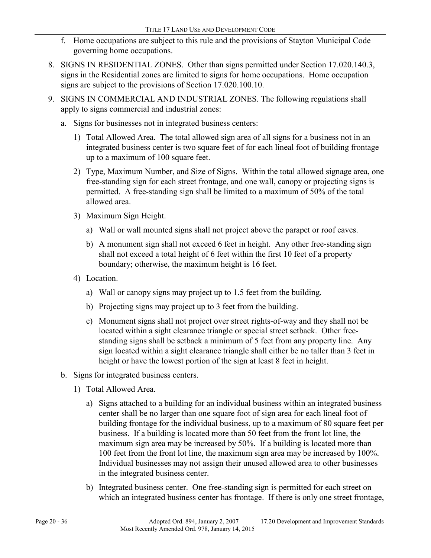- f. Home occupations are subject to this rule and the provisions of Stayton Municipal Code governing home occupations.
- 8. SIGNS IN RESIDENTIAL ZONES. Other than signs permitted under Section 17.020.140.3, signs in the Residential zones are limited to signs for home occupations. Home occupation signs are subject to the provisions of Section 17.020.100.10.
- 9. SIGNS IN COMMERCIAL AND INDUSTRIAL ZONES. The following regulations shall apply to signs commercial and industrial zones:
	- a. Signs for businesses not in integrated business centers:
		- 1) Total Allowed Area. The total allowed sign area of all signs for a business not in an integrated business center is two square feet of for each lineal foot of building frontage up to a maximum of 100 square feet.
		- 2) Type, Maximum Number, and Size of Signs. Within the total allowed signage area, one free-standing sign for each street frontage, and one wall, canopy or projecting signs is permitted. A free-standing sign shall be limited to a maximum of 50% of the total allowed area.
		- 3) Maximum Sign Height.
			- a) Wall or wall mounted signs shall not project above the parapet or roof eaves.
			- b) A monument sign shall not exceed 6 feet in height. Any other free-standing sign shall not exceed a total height of 6 feet within the first 10 feet of a property boundary; otherwise, the maximum height is 16 feet.
		- 4) Location.
			- a) Wall or canopy signs may project up to 1.5 feet from the building.
			- b) Projecting signs may project up to 3 feet from the building.
			- c) Monument signs shall not project over street rights-of-way and they shall not be located within a sight clearance triangle or special street setback. Other freestanding signs shall be setback a minimum of 5 feet from any property line. Any sign located within a sight clearance triangle shall either be no taller than 3 feet in height or have the lowest portion of the sign at least 8 feet in height.
	- b. Signs for integrated business centers.
		- 1) Total Allowed Area.
			- a) Signs attached to a building for an individual business within an integrated business center shall be no larger than one square foot of sign area for each lineal foot of building frontage for the individual business, up to a maximum of 80 square feet per business. If a building is located more than 50 feet from the front lot line, the maximum sign area may be increased by 50%. If a building is located more than 100 feet from the front lot line, the maximum sign area may be increased by 100%. Individual businesses may not assign their unused allowed area to other businesses in the integrated business center.
			- b) Integrated business center. One free-standing sign is permitted for each street on which an integrated business center has frontage. If there is only one street frontage,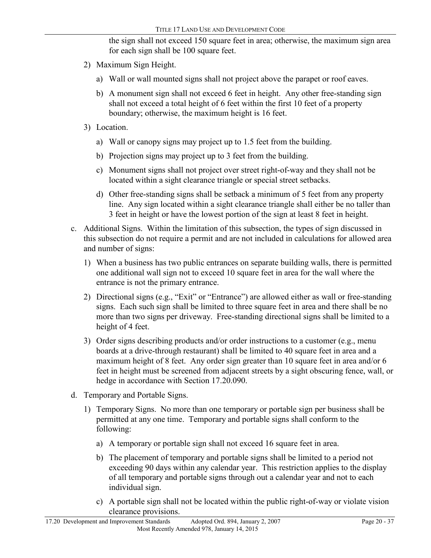the sign shall not exceed 150 square feet in area; otherwise, the maximum sign area for each sign shall be 100 square feet.

- 2) Maximum Sign Height.
	- a) Wall or wall mounted signs shall not project above the parapet or roof eaves.
	- b) A monument sign shall not exceed 6 feet in height. Any other free-standing sign shall not exceed a total height of 6 feet within the first 10 feet of a property boundary; otherwise, the maximum height is 16 feet.
- 3) Location.
	- a) Wall or canopy signs may project up to 1.5 feet from the building.
	- b) Projection signs may project up to 3 feet from the building.
	- c) Monument signs shall not project over street right-of-way and they shall not be located within a sight clearance triangle or special street setbacks.
	- d) Other free-standing signs shall be setback a minimum of 5 feet from any property line. Any sign located within a sight clearance triangle shall either be no taller than 3 feet in height or have the lowest portion of the sign at least 8 feet in height.
- c. Additional Signs. Within the limitation of this subsection, the types of sign discussed in this subsection do not require a permit and are not included in calculations for allowed area and number of signs:
	- 1) When a business has two public entrances on separate building walls, there is permitted one additional wall sign not to exceed 10 square feet in area for the wall where the entrance is not the primary entrance.
	- 2) Directional signs (e.g., "Exit" or "Entrance") are allowed either as wall or free-standing signs. Each such sign shall be limited to three square feet in area and there shall be no more than two signs per driveway. Free-standing directional signs shall be limited to a height of 4 feet.
	- 3) Order signs describing products and/or order instructions to a customer (e.g., menu boards at a drive-through restaurant) shall be limited to 40 square feet in area and a maximum height of 8 feet. Any order sign greater than 10 square feet in area and/or 6 feet in height must be screened from adjacent streets by a sight obscuring fence, wall, or hedge in accordance with Section 17.20.090.
- d. Temporary and Portable Signs.
	- 1) Temporary Signs. No more than one temporary or portable sign per business shall be permitted at any one time. Temporary and portable signs shall conform to the following:
		- a) A temporary or portable sign shall not exceed 16 square feet in area.
		- b) The placement of temporary and portable signs shall be limited to a period not exceeding 90 days within any calendar year. This restriction applies to the display of all temporary and portable signs through out a calendar year and not to each individual sign.
		- c) A portable sign shall not be located within the public right-of-way or violate vision clearance provisions.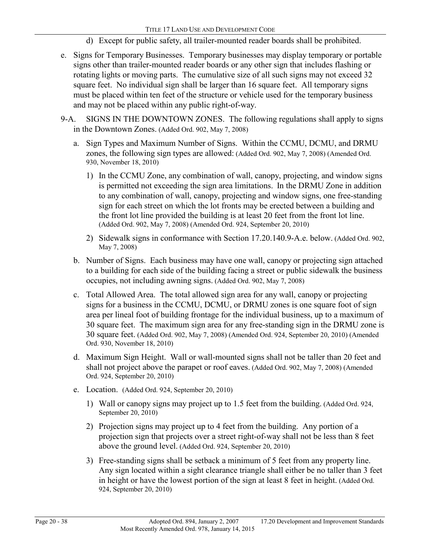- d) Except for public safety, all trailer-mounted reader boards shall be prohibited.
- e. Signs for Temporary Businesses. Temporary businesses may display temporary or portable signs other than trailer-mounted reader boards or any other sign that includes flashing or rotating lights or moving parts. The cumulative size of all such signs may not exceed 32 square feet. No individual sign shall be larger than 16 square feet. All temporary signs must be placed within ten feet of the structure or vehicle used for the temporary business and may not be placed within any public right-of-way.
- 9-A. SIGNS IN THE DOWNTOWN ZONES. The following regulations shall apply to signs in the Downtown Zones. (Added Ord. 902, May 7, 2008)
	- a. Sign Types and Maximum Number of Signs. Within the CCMU, DCMU, and DRMU zones, the following sign types are allowed: (Added Ord. 902, May 7, 2008) (Amended Ord. 930, November 18, 2010)
		- 1) In the CCMU Zone, any combination of wall, canopy, projecting, and window signs is permitted not exceeding the sign area limitations. In the DRMU Zone in addition to any combination of wall, canopy, projecting and window signs, one free-standing sign for each street on which the lot fronts may be erected between a building and the front lot line provided the building is at least 20 feet from the front lot line. (Added Ord. 902, May 7, 2008) (Amended Ord. 924, September 20, 2010)
		- 2) Sidewalk signs in conformance with Section 17.20.140.9-A.e. below. (Added Ord. 902, May 7, 2008)
	- b. Number of Signs. Each business may have one wall, canopy or projecting sign attached to a building for each side of the building facing a street or public sidewalk the business occupies, not including awning signs. (Added Ord. 902, May 7, 2008)
	- c. Total Allowed Area. The total allowed sign area for any wall, canopy or projecting signs for a business in the CCMU, DCMU, or DRMU zones is one square foot of sign area per lineal foot of building frontage for the individual business, up to a maximum of 30 square feet. The maximum sign area for any free-standing sign in the DRMU zone is 30 square feet. (Added Ord. 902, May 7, 2008) (Amended Ord. 924, September 20, 2010) (Amended Ord. 930, November 18, 2010)
	- d. Maximum Sign Height. Wall or wall-mounted signs shall not be taller than 20 feet and shall not project above the parapet or roof eaves. (Added Ord. 902, May 7, 2008) (Amended Ord. 924, September 20, 2010)
	- e. Location. (Added Ord. 924, September 20, 2010)
		- 1) Wall or canopy signs may project up to 1.5 feet from the building. (Added Ord. 924, September 20, 2010)
		- 2) Projection signs may project up to 4 feet from the building. Any portion of a projection sign that projects over a street right-of-way shall not be less than 8 feet above the ground level. (Added Ord. 924, September 20, 2010)
		- 3) Free-standing signs shall be setback a minimum of 5 feet from any property line. Any sign located within a sight clearance triangle shall either be no taller than 3 feet in height or have the lowest portion of the sign at least 8 feet in height. (Added Ord. 924, September 20, 2010)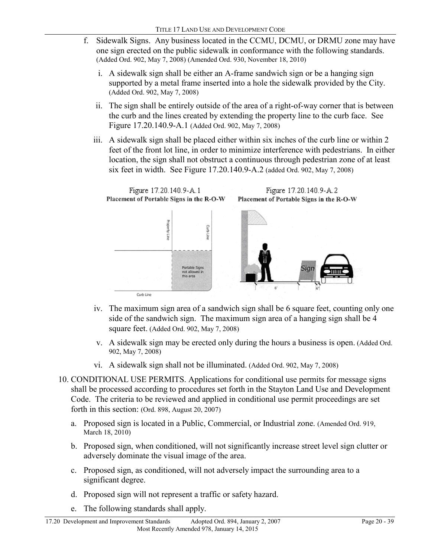- f. Sidewalk Signs. Any business located in the CCMU, DCMU, or DRMU zone may have one sign erected on the public sidewalk in conformance with the following standards. (Added Ord. 902, May 7, 2008) (Amended Ord. 930, November 18, 2010)
	- i. A sidewalk sign shall be either an A-frame sandwich sign or be a hanging sign supported by a metal frame inserted into a hole the sidewalk provided by the City. (Added Ord. 902, May 7, 2008)
	- ii. The sign shall be entirely outside of the area of a right-of-way corner that is between the curb and the lines created by extending the property line to the curb face. See Figure 17.20.140.9-A.1 (Added Ord. 902, May 7, 2008)
	- iii. A sidewalk sign shall be placed either within six inches of the curb line or within 2 feet of the front lot line, in order to minimize interference with pedestrians. In either location, the sign shall not obstruct a continuous through pedestrian zone of at least six feet in width. See Figure 17.20.140.9-A.2 (added Ord. 902, May 7, 2008)



- iv. The maximum sign area of a sandwich sign shall be 6 square feet, counting only one side of the sandwich sign. The maximum sign area of a hanging sign shall be 4 square feet. (Added Ord. 902, May 7, 2008)
- v. A sidewalk sign may be erected only during the hours a business is open. (Added Ord. 902, May 7, 2008)
- vi. A sidewalk sign shall not be illuminated. (Added Ord. 902, May 7, 2008)
- 10. CONDITIONAL USE PERMITS. Applications for conditional use permits for message signs shall be processed according to procedures set forth in the Stayton Land Use and Development Code. The criteria to be reviewed and applied in conditional use permit proceedings are set forth in this section: (Ord. 898, August 20, 2007)
	- a. Proposed sign is located in a Public, Commercial, or Industrial zone. (Amended Ord. 919, March 18, 2010)
	- b. Proposed sign, when conditioned, will not significantly increase street level sign clutter or adversely dominate the visual image of the area.
	- c. Proposed sign, as conditioned, will not adversely impact the surrounding area to a significant degree.
	- d. Proposed sign will not represent a traffic or safety hazard.
	- e. The following standards shall apply.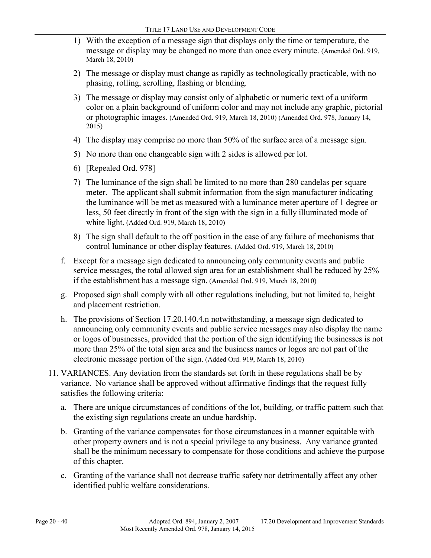- 1) With the exception of a message sign that displays only the time or temperature, the message or display may be changed no more than once every minute. (Amended Ord. 919, March 18, 2010)
- 2) The message or display must change as rapidly as technologically practicable, with no phasing, rolling, scrolling, flashing or blending.
- 3) The message or display may consist only of alphabetic or numeric text of a uniform color on a plain background of uniform color and may not include any graphic, pictorial or photographic images. (Amended Ord. 919, March 18, 2010) (Amended Ord. 978, January 14, 2015)
- 4) The display may comprise no more than 50% of the surface area of a message sign.
- 5) No more than one changeable sign with 2 sides is allowed per lot.
- 6) [Repealed Ord. 978]
- 7) The luminance of the sign shall be limited to no more than 280 candelas per square meter. The applicant shall submit information from the sign manufacturer indicating the luminance will be met as measured with a luminance meter aperture of 1 degree or less, 50 feet directly in front of the sign with the sign in a fully illuminated mode of white light. (Added Ord. 919, March 18, 2010)
- 8) The sign shall default to the off position in the case of any failure of mechanisms that control luminance or other display features. (Added Ord. 919, March 18, 2010)
- f. Except for a message sign dedicated to announcing only community events and public service messages, the total allowed sign area for an establishment shall be reduced by 25% if the establishment has a message sign. (Amended Ord. 919, March 18, 2010)
- g. Proposed sign shall comply with all other regulations including, but not limited to, height and placement restriction.
- h. The provisions of Section 17.20.140.4.n notwithstanding, a message sign dedicated to announcing only community events and public service messages may also display the name or logos of businesses, provided that the portion of the sign identifying the businesses is not more than 25% of the total sign area and the business names or logos are not part of the electronic message portion of the sign. (Added Ord. 919, March 18, 2010)
- 11. VARIANCES. Any deviation from the standards set forth in these regulations shall be by variance. No variance shall be approved without affirmative findings that the request fully satisfies the following criteria:
	- a. There are unique circumstances of conditions of the lot, building, or traffic pattern such that the existing sign regulations create an undue hardship.
	- b. Granting of the variance compensates for those circumstances in a manner equitable with other property owners and is not a special privilege to any business. Any variance granted shall be the minimum necessary to compensate for those conditions and achieve the purpose of this chapter.
	- c. Granting of the variance shall not decrease traffic safety nor detrimentally affect any other identified public welfare considerations.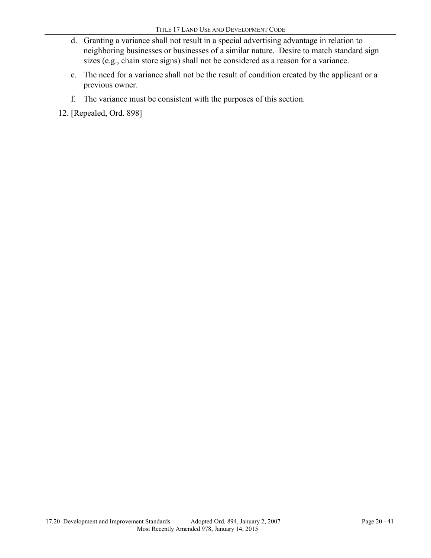- d. Granting a variance shall not result in a special advertising advantage in relation to neighboring businesses or businesses of a similar nature. Desire to match standard sign sizes (e.g., chain store signs) shall not be considered as a reason for a variance.
- e. The need for a variance shall not be the result of condition created by the applicant or a previous owner.
- f. The variance must be consistent with the purposes of this section.

12. [Repealed, Ord. 898]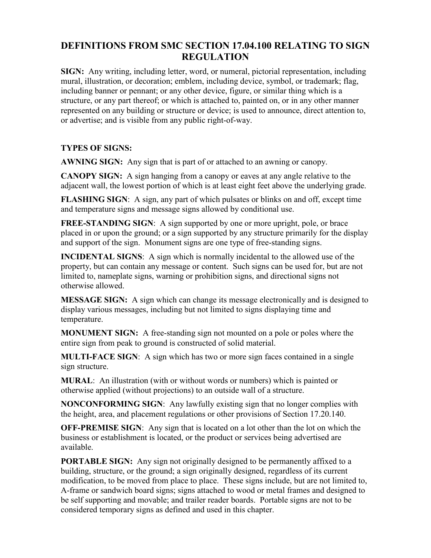# **DEFINITIONS FROM SMC SECTION 17.04.100 RELATING TO SIGN REGULATION**

**SIGN:** Any writing, including letter, word, or numeral, pictorial representation, including mural, illustration, or decoration; emblem, including device, symbol, or trademark; flag, including banner or pennant; or any other device, figure, or similar thing which is a structure, or any part thereof; or which is attached to, painted on, or in any other manner represented on any building or structure or device; is used to announce, direct attention to, or advertise; and is visible from any public right-of-way.

### **TYPES OF SIGNS:**

**AWNING SIGN:** Any sign that is part of or attached to an awning or canopy.

**CANOPY SIGN:** A sign hanging from a canopy or eaves at any angle relative to the adjacent wall, the lowest portion of which is at least eight feet above the underlying grade.

**FLASHING SIGN:** A sign, any part of which pulsates or blinks on and off, except time and temperature signs and message signs allowed by conditional use.

**FREE-STANDING SIGN:** A sign supported by one or more upright, pole, or brace placed in or upon the ground; or a sign supported by any structure primarily for the display and support of the sign. Monument signs are one type of free-standing signs.

**INCIDENTAL SIGNS:** A sign which is normally incidental to the allowed use of the property, but can contain any message or content. Such signs can be used for, but are not limited to, nameplate signs, warning or prohibition signs, and directional signs not otherwise allowed.

**MESSAGE SIGN:** A sign which can change its message electronically and is designed to display various messages, including but not limited to signs displaying time and temperature.

**MONUMENT SIGN:** A free-standing sign not mounted on a pole or poles where the entire sign from peak to ground is constructed of solid material.

**MULTI-FACE SIGN**: A sign which has two or more sign faces contained in a single sign structure.

**MURAL**: An illustration (with or without words or numbers) which is painted or otherwise applied (without projections) to an outside wall of a structure.

**NONCONFORMING SIGN**: Any lawfully existing sign that no longer complies with the height, area, and placement regulations or other provisions of Section 17.20.140.

**OFF-PREMISE SIGN:** Any sign that is located on a lot other than the lot on which the business or establishment is located, or the product or services being advertised are available.

**PORTABLE SIGN:** Any sign not originally designed to be permanently affixed to a building, structure, or the ground; a sign originally designed, regardless of its current modification, to be moved from place to place. These signs include, but are not limited to, A-frame or sandwich board signs; signs attached to wood or metal frames and designed to be self supporting and movable; and trailer reader boards. Portable signs are not to be considered temporary signs as defined and used in this chapter.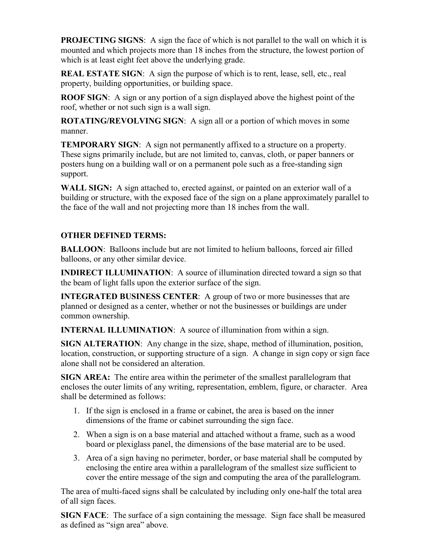**PROJECTING SIGNS:** A sign the face of which is not parallel to the wall on which it is mounted and which projects more than 18 inches from the structure, the lowest portion of which is at least eight feet above the underlying grade.

**REAL ESTATE SIGN:** A sign the purpose of which is to rent, lease, sell, etc., real property, building opportunities, or building space.

**ROOF SIGN**: A sign or any portion of a sign displayed above the highest point of the roof, whether or not such sign is a wall sign.

**ROTATING/REVOLVING SIGN:** A sign all or a portion of which moves in some manner.

**TEMPORARY SIGN:** A sign not permanently affixed to a structure on a property. These signs primarily include, but are not limited to, canvas, cloth, or paper banners or posters hung on a building wall or on a permanent pole such as a free-standing sign support.

**WALL SIGN:** A sign attached to, erected against, or painted on an exterior wall of a building or structure, with the exposed face of the sign on a plane approximately parallel to the face of the wall and not projecting more than 18 inches from the wall.

### **OTHER DEFINED TERMS:**

**BALLOON:** Balloons include but are not limited to helium balloons, forced air filled balloons, or any other similar device.

**INDIRECT ILLUMINATION:** A source of illumination directed toward a sign so that the beam of light falls upon the exterior surface of the sign.

**INTEGRATED BUSINESS CENTER**: A group of two or more businesses that are planned or designed as a center, whether or not the businesses or buildings are under common ownership.

**INTERNAL ILLUMINATION:** A source of illumination from within a sign.

**SIGN ALTERATION**: Any change in the size, shape, method of illumination, position, location, construction, or supporting structure of a sign. A change in sign copy or sign face alone shall not be considered an alteration.

**SIGN AREA:** The entire area within the perimeter of the smallest parallelogram that encloses the outer limits of any writing, representation, emblem, figure, or character. Area shall be determined as follows:

- 1. If the sign is enclosed in a frame or cabinet, the area is based on the inner dimensions of the frame or cabinet surrounding the sign face.
- 2. When a sign is on a base material and attached without a frame, such as a wood board or plexiglass panel, the dimensions of the base material are to be used.
- 3. Area of a sign having no perimeter, border, or base material shall be computed by enclosing the entire area within a parallelogram of the smallest size sufficient to cover the entire message of the sign and computing the area of the parallelogram.

The area of multi-faced signs shall be calculated by including only one-half the total area of all sign faces.

**SIGN FACE**: The surface of a sign containing the message. Sign face shall be measured as defined as "sign area" above.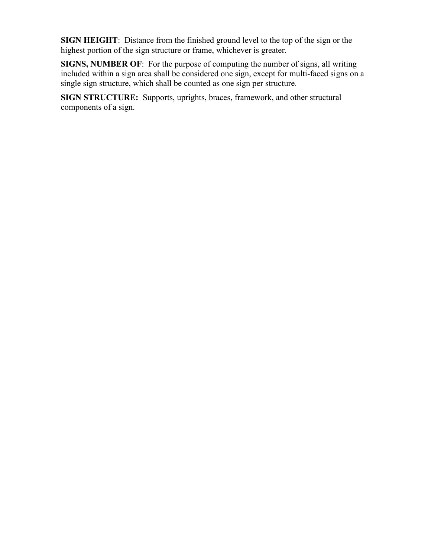**SIGN HEIGHT**: Distance from the finished ground level to the top of the sign or the highest portion of the sign structure or frame, whichever is greater.

**SIGNS, NUMBER OF**: For the purpose of computing the number of signs, all writing included within a sign area shall be considered one sign, except for multi-faced signs on a single sign structure, which shall be counted as one sign per structure.

**SIGN STRUCTURE:** Supports, uprights, braces, framework, and other structural components of a sign.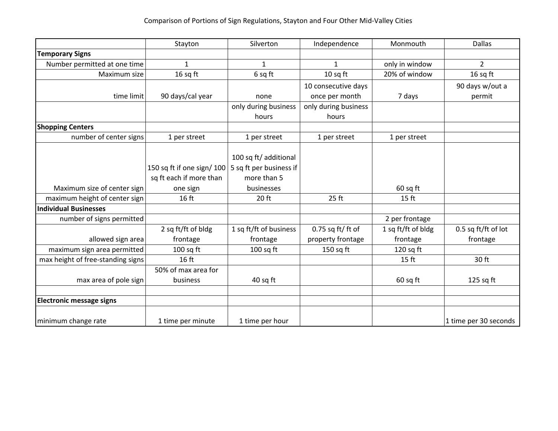|                                   | Stayton                   | Silverton               | Independence         | Monmouth           | <b>Dallas</b>         |
|-----------------------------------|---------------------------|-------------------------|----------------------|--------------------|-----------------------|
| <b>Temporary Signs</b>            |                           |                         |                      |                    |                       |
| Number permitted at one time      | $\mathbf{1}$              | $\mathbf{1}$            | $\mathbf{1}$         | only in window     | $\overline{2}$        |
| Maximum size                      | 16 sq ft                  | 6 sq ft                 | 10 sq ft             | 20% of window      | 16 sq ft              |
|                                   |                           |                         | 10 consecutive days  |                    | 90 days w/out a       |
| time limit                        | 90 days/cal year          | none                    | once per month       | 7 days             | permit                |
|                                   |                           | only during business    | only during business |                    |                       |
|                                   |                           | hours                   | hours                |                    |                       |
| <b>Shopping Centers</b>           |                           |                         |                      |                    |                       |
| number of center signs            | 1 per street              | 1 per street            | 1 per street         | 1 per street       |                       |
|                                   |                           |                         |                      |                    |                       |
|                                   |                           | 100 sq ft/ additional   |                      |                    |                       |
|                                   | 150 sq ft if one sign/100 | 5 sq ft per business if |                      |                    |                       |
|                                   | sq ft each if more than   | more than 5             |                      |                    |                       |
| Maximum size of center sign       | one sign                  | businesses              |                      | $60$ sq ft         |                       |
| maximum height of center sign     | 16 ft                     | 20 ft                   | 25 ft                | 15 <sub>ft</sub>   |                       |
| <b>Individual Businesses</b>      |                           |                         |                      |                    |                       |
| number of signs permitted         |                           |                         |                      | 2 per frontage     |                       |
|                                   | 2 sq ft/ft of bldg        | 1 sq ft/ft of business  | $0.75$ sq ft/ ft of  | 1 sq ft/ft of bldg | 0.5 sq ft/ft of lot   |
| allowed sign area                 | frontage                  | frontage                | property frontage    | frontage           | frontage              |
| maximum sign area permitted       | $100$ sq ft               | $100$ sq ft             | $150$ sq ft          | 120 sq ft          |                       |
| max height of free-standing signs | 16 ft                     |                         |                      | 15 <sub>ft</sub>   | 30 ft                 |
|                                   | 50% of max area for       |                         |                      |                    |                       |
| max area of pole sign             | business                  | 40 sq ft                |                      | $60$ sq ft         | $125$ sq ft           |
|                                   |                           |                         |                      |                    |                       |
| <b>Electronic message signs</b>   |                           |                         |                      |                    |                       |
| minimum change rate               | 1 time per minute         | 1 time per hour         |                      |                    | 1 time per 30 seconds |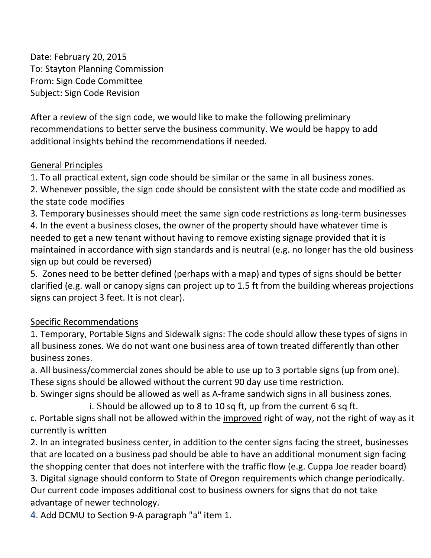Date: February 20, 2015 To: Stayton Planning Commission From: Sign Code Committee Subject: Sign Code Revision

After a review of the sign code, we would like to make the following preliminary recommendations to better serve the business community. We would be happy to add additional insights behind the recommendations if needed.

# General Principles

1. To all practical extent, sign code should be similar or the same in all business zones.

2. Whenever possible, the sign code should be consistent with the state code and modified as the state code modifies

3. Temporary businesses should meet the same sign code restrictions as long-term businesses

4. In the event a business closes, the owner of the property should have whatever time is needed to get a new tenant without having to remove existing signage provided that it is maintained in accordance with sign standards and is neutral (e.g. no longer has the old business sign up but could be reversed)

5. Zones need to be better defined (perhaps with a map) and types of signs should be better clarified (e.g. wall or canopy signs can project up to 1.5 ft from the building whereas projections signs can project 3 feet. It is not clear).

# Specific Recommendations

1. Temporary, Portable Signs and Sidewalk signs: The code should allow these types of signs in all business zones. We do not want one business area of town treated differently than other business zones.

a. All business/commercial zones should be able to use up to 3 portable signs (up from one). These signs should be allowed without the current 90 day use time restriction.

b. Swinger signs should be allowed as well as A-frame sandwich signs in all business zones.

 i. Should be allowed up to 8 to 10 sq ft, up from the current 6 sq ft. c. Portable signs shall not be allowed within the improved right of way, not the right of way as it

currently is written

2. In an integrated business center, in addition to the center signs facing the street, businesses that are located on a business pad should be able to have an additional monument sign facing the shopping center that does not interfere with the traffic flow (e.g. Cuppa Joe reader board) 3. Digital signage should conform to State of Oregon requirements which change periodically. Our current code imposes additional cost to business owners for signs that do not take

advantage of newer technology.

4. Add DCMU to Section 9-A paragraph "a" item 1.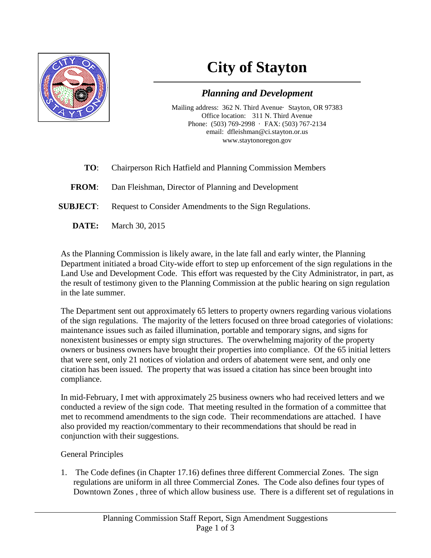

# **City of Stayton**

# *Planning and Development*

Mailing address: 362 N. Third Avenue· Stayton, OR 97383 Office location: 311 N. Third Avenue Phone: (503) 769-2998 · FAX: (503) 767-2134 email: dfleishman@ci.stayton.or.us www.staytonoregon.gov

- **TO**: Chairperson Rich Hatfield and Planning Commission Members
- **FROM**: Dan Fleishman, Director of Planning and Development
- **SUBJECT:** Request to Consider Amendments to the Sign Regulations.
	- **DATE:** March 30, 2015

As the Planning Commission is likely aware, in the late fall and early winter, the Planning Department initiated a broad City-wide effort to step up enforcement of the sign regulations in the Land Use and Development Code. This effort was requested by the City Administrator, in part, as the result of testimony given to the Planning Commission at the public hearing on sign regulation in the late summer.

The Department sent out approximately 65 letters to property owners regarding various violations of the sign regulations. The majority of the letters focused on three broad categories of violations: maintenance issues such as failed illumination, portable and temporary signs, and signs for nonexistent businesses or empty sign structures. The overwhelming majority of the property owners or business owners have brought their properties into compliance. Of the 65 initial letters that were sent, only 21 notices of violation and orders of abatement were sent, and only one citation has been issued. The property that was issued a citation has since been brought into compliance.

In mid-February, I met with approximately 25 business owners who had received letters and we conducted a review of the sign code. That meeting resulted in the formation of a committee that met to recommend amendments to the sign code. Their recommendations are attached. I have also provided my reaction/commentary to their recommendations that should be read in conjunction with their suggestions.

## General Principles

1. The Code defines (in Chapter 17.16) defines three different Commercial Zones. The sign regulations are uniform in all three Commercial Zones. The Code also defines four types of Downtown Zones , three of which allow business use. There is a different set of regulations in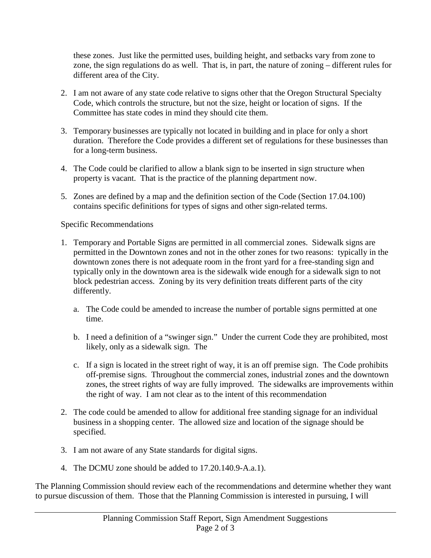these zones. Just like the permitted uses, building height, and setbacks vary from zone to zone, the sign regulations do as well. That is, in part, the nature of zoning – different rules for different area of the City.

- 2. I am not aware of any state code relative to signs other that the Oregon Structural Specialty Code, which controls the structure, but not the size, height or location of signs. If the Committee has state codes in mind they should cite them.
- 3. Temporary businesses are typically not located in building and in place for only a short duration. Therefore the Code provides a different set of regulations for these businesses than for a long-term business.
- 4. The Code could be clarified to allow a blank sign to be inserted in sign structure when property is vacant. That is the practice of the planning department now.
- 5. Zones are defined by a map and the definition section of the Code (Section 17.04.100) contains specific definitions for types of signs and other sign-related terms.

Specific Recommendations

- 1. Temporary and Portable Signs are permitted in all commercial zones. Sidewalk signs are permitted in the Downtown zones and not in the other zones for two reasons: typically in the downtown zones there is not adequate room in the front yard for a free-standing sign and typically only in the downtown area is the sidewalk wide enough for a sidewalk sign to not block pedestrian access. Zoning by its very definition treats different parts of the city differently.
	- a. The Code could be amended to increase the number of portable signs permitted at one time.
	- b. I need a definition of a "swinger sign." Under the current Code they are prohibited, most likely, only as a sidewalk sign. The
	- c. If a sign is located in the street right of way, it is an off premise sign. The Code prohibits off-premise signs. Throughout the commercial zones, industrial zones and the downtown zones, the street rights of way are fully improved. The sidewalks are improvements within the right of way. I am not clear as to the intent of this recommendation
- 2. The code could be amended to allow for additional free standing signage for an individual business in a shopping center. The allowed size and location of the signage should be specified.
- 3. I am not aware of any State standards for digital signs.
- 4. The DCMU zone should be added to 17.20.140.9-A.a.1).

The Planning Commission should review each of the recommendations and determine whether they want to pursue discussion of them. Those that the Planning Commission is interested in pursuing, I will